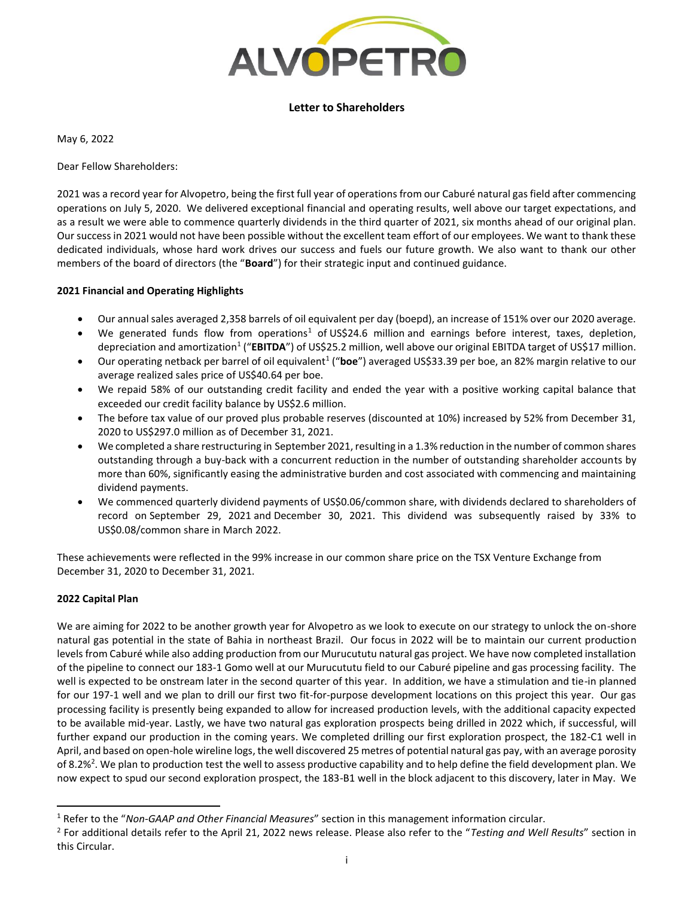

# **Letter to Shareholders**

May 6, 2022

Dear Fellow Shareholders:

2021 was a record year for Alvopetro, being the first full year of operations from our Caburé natural gas field after commencing operations on July 5, 2020. We delivered exceptional financial and operating results, well above our target expectations, and as a result we were able to commence quarterly dividends in the third quarter of 2021, six months ahead of our original plan. Our success in 2021 would not have been possible without the excellent team effort of our employees. We want to thank these dedicated individuals, whose hard work drives our success and fuels our future growth. We also want to thank our other members of the board of directors (the "**Board**") for their strategic input and continued guidance.

# **2021 Financial and Operating Highlights**

- Our annual sales averaged 2,358 barrels of oil equivalent per day (boepd), an increase of 151% over our 2020 average.
- We generated funds flow from operations<sup>1</sup> of US\$24.6 million and earnings before interest, taxes, depletion, depreciation and amortization<sup>1</sup> ("**EBITDA**") of US\$25.2 million, well above our original EBITDA target of US\$17 million.
- Our operating netback per barrel of oil equivalent<sup>1</sup> ("boe") averaged US\$33.39 per boe, an 82% margin relative to our average realized sales price of US\$40.64 per boe.
- We repaid 58% of our outstanding credit facility and ended the year with a positive working capital balance that exceeded our credit facility balance by US\$2.6 million.
- The before tax value of our proved plus probable reserves (discounted at 10%) increased by 52% from December 31, 2020 to US\$297.0 million as of December 31, 2021.
- We completed a share restructuring in September 2021, resulting in a 1.3% reduction in the number of common shares outstanding through a buy-back with a concurrent reduction in the number of outstanding shareholder accounts by more than 60%, significantly easing the administrative burden and cost associated with commencing and maintaining dividend payments.
- We commenced quarterly dividend payments of US\$0.06/common share, with dividends declared to shareholders of record on September 29, 2021 and December 30, 2021. This dividend was subsequently raised by 33% to US\$0.08/common share in March 2022.

These achievements were reflected in the 99% increase in our common share price on the TSX Venture Exchange from December 31, 2020 to December 31, 2021.

# **2022 Capital Plan**

We are aiming for 2022 to be another growth year for Alvopetro as we look to execute on our strategy to unlock the on-shore natural gas potential in the state of Bahia in northeast Brazil. Our focus in 2022 will be to maintain our current production levels from Caburé while also adding production from our Murucututu natural gas project. We have now completed installation of the pipeline to connect our 183-1 Gomo well at our Murucututu field to our Caburé pipeline and gas processing facility. The well is expected to be onstream later in the second quarter of this year. In addition, we have a stimulation and tie-in planned for our 197-1 well and we plan to drill our first two fit-for-purpose development locations on this project this year. Our gas processing facility is presently being expanded to allow for increased production levels, with the additional capacity expected to be available mid-year. Lastly, we have two natural gas exploration prospects being drilled in 2022 which, if successful, will further expand our production in the coming years. We completed drilling our first exploration prospect, the 182-C1 well in April, and based on open-hole wireline logs, the well discovered 25 metres of potential natural gas pay, with an average porosity of 8.2%<sup>2</sup>. We plan to production test the well to assess productive capability and to help define the field development plan. We now expect to spud our second exploration prospect, the 183-B1 well in the block adjacent to this discovery, later in May. We

<sup>1</sup> Refer to the "*Non-GAAP and Other Financial Measures*" section in this management information circular.

<sup>2</sup> For additional details refer to the April 21, 2022 news release. Please also refer to the "*Testing and Well Results*" section in this Circular.